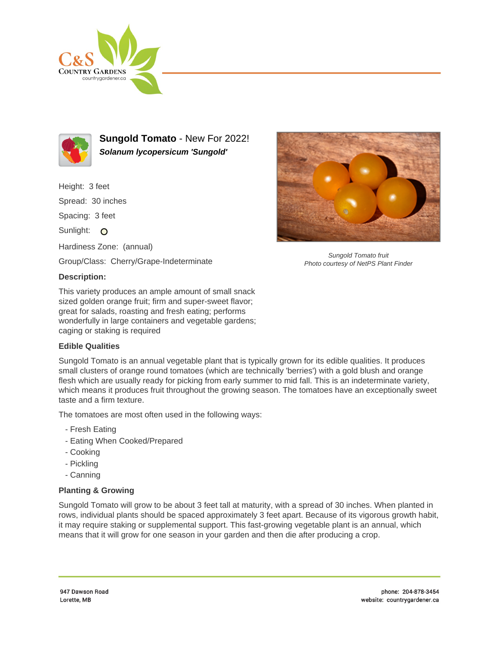



**Sungold Tomato** - New For 2022! **Solanum lycopersicum 'Sungold'**

Height: 3 feet Spread: 30 inches Spacing: 3 feet Sunlight: O Hardiness Zone: (annual)

Group/Class: Cherry/Grape-Indeterminate

## **Description:**

This variety produces an ample amount of small snack sized golden orange fruit; firm and super-sweet flavor; great for salads, roasting and fresh eating; performs wonderfully in large containers and vegetable gardens; caging or staking is required

## **Edible Qualities**

Sungold Tomato is an annual vegetable plant that is typically grown for its edible qualities. It produces small clusters of orange round tomatoes (which are technically 'berries') with a gold blush and orange flesh which are usually ready for picking from early summer to mid fall. This is an indeterminate variety, which means it produces fruit throughout the growing season. The tomatoes have an exceptionally sweet taste and a firm texture.

The tomatoes are most often used in the following ways:

- Fresh Eating
- Eating When Cooked/Prepared
- Cooking
- Pickling
- Canning

## **Planting & Growing**

Sungold Tomato will grow to be about 3 feet tall at maturity, with a spread of 30 inches. When planted in rows, individual plants should be spaced approximately 3 feet apart. Because of its vigorous growth habit, it may require staking or supplemental support. This fast-growing vegetable plant is an annual, which means that it will grow for one season in your garden and then die after producing a crop.



Sungold Tomato fruit Photo courtesy of NetPS Plant Finder